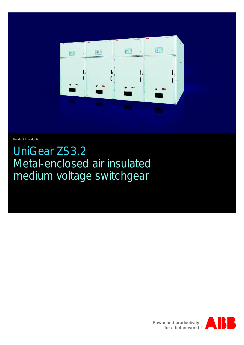

Product Introduction

UniGear ZS3.2 Metal-enclosed air insulated medium voltage switchgear



Power and productivity<br>for a better world<sup>™</sup>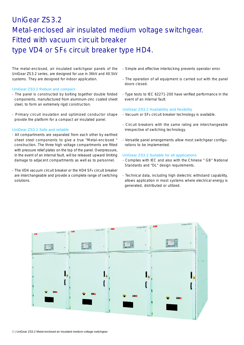# UniGear ZS3.2 Metal-enclosed air insulated medium voltage switchgear. Fitted with vacuum circuit breaker type VD4 or SF<sub>6</sub> circuit breaker type HD4.

The metal-enclosed, air insulated switchgear panels of the UniGear ZS3.2 series, are designed for use in 36kV and 40.5kV systems. They are designed for indoor application.

### UniGear ZS3.2 Robust and compact

- The panel is constructed by bolting together double folded components, manufactured from aluminum-zinc coated sheet steel, to form an extremely rigid construction.
- Primary circuit insulation and optimized conductor shape provide the platform for a compact air insulated panel.

## UniGear ZS3.2 Safe and reliable

- All compartments are separated from each other by earthed sheet steel components to give a true "Metal-enclosed " construction. The three high voltage compartments are fitted with pressure relief plates on the top of the panel. Overpressure, in the event of an internal fault, will be released upward limiting damage to adjacent compartments as well as to personnel.
- The VD4 vacuum circuit breaker or the HD4 SF<sub>6</sub> circuit breaker are interchangeable and provide a complete range of switching solutions.
- Simple and effective interlocking prevents operator error.
- The operation of all equipment is carried out with the panel doors closed.
- Type tests to IEC 62271-200 have verified performance in the event of an internal fault.

## UniGear ZS3.2 Availability and flexibility

- Vacuum or SF<sub>6</sub> circuit breaker technology is available.
- Circuit breakers with the same rating are interchangeable irrespective of switching technology.
- Versatile panel arrangements allow most switchgear configurations to be implemented.

## UniGear ZS3.2 Suitable for all applications

- Complies with IEC and also with the Chinese " GB" National Standards and "DL" design requirements.
- Technical data, including high dielectric withstand capability, allows application in most systems where electrical energy is generated, distributed or utilized.

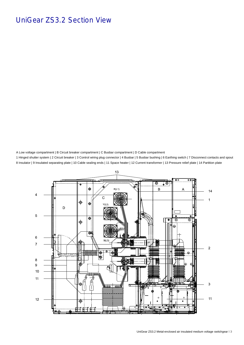

A Low voltage compartment | B Circuit breaker compartment | C Busbar compartment | D Cable compartment 1 Hinged shutter system | 2 Circuit breaker | 3 Control wiring plug connector | 4 Busbar | 5 Busbar bushing | 6 Earthing switch | 7 Disconnect contacts and spout 8 Insulator | 9 Insulated separating plate | 10 Cable sealing ends | 11 Space heater | 12 Current transformer | 13 Pressure relief plate | 14 Partition plate

## UniGear ZS3.2 Section View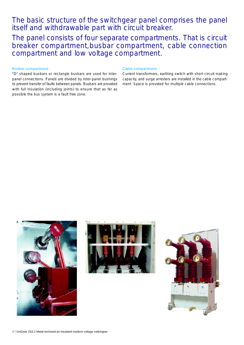## Busbar compartment

"D" shaped busbars or rectangle busbars are used for interpanel connections. Panels are divided by inter-panel bushings to prevent transfer of faults between panels. Busbars are provided with full insulation (including joints) to ensure that as far as possible the bus system is a fault free zone.

## Cable compartment

Current transformers, earthing switch with short circuit making capacity, and surge arresters are installed in the cable compartment. Space is provided for multiple cable connections.





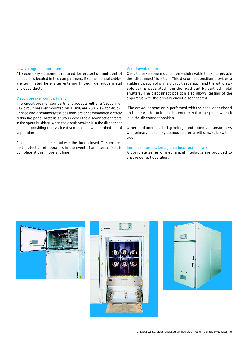#### Low voltage compartment

All secondary equipment required for protection and control functions is located in this compartment. External control cables are terminated here after entering through generous metal enclosed ducts.

### Circuit breaker compartment

The circuit breaker compartment accepts either a Vacuum or SF<sup>6</sup> circuit breaker mounted on a UniGear ZS3.2 switch-truck. Service and disconnect/test positions are accommodated entirely within the panel. Metallic shutters cover the disconnect contacts in the spout bushings when the circuit breaker is in the disconnect position providing true visible disconnection with earthed metal separation.

All operations are carried out with the doors closed. This ensures that protection of operators in the event of an internal fault is complete at this important time.

#### Withdrawable part

Circuit breakers are mounted on withdrawable trucks to provide the "disconnect" function. This disconnect position provides a visible indication of primary circuit separation and the withdrawable part is separated from the fixed part by earthed metal shutters. The disconnect position also allows testing of the apparatus with the primary circuit disconnected.

The drawout operation is performed with the panel door closed and the switch-truck remains entirely within the panel when it is in the disconnect position.

Other equipment including voltage and potential transformers with primary fuses may be mounted on a withdrawable switchtruck.

## Interlocks, protection against incorrect operation

A complete series of mechanical interlocks are provided to ensure correct operation.





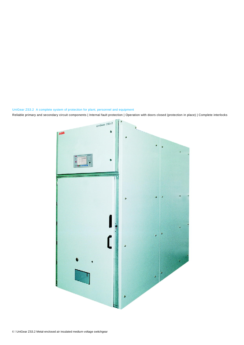

UniGear ZS3.2 A complete system of protection for plant, personnel and equipment Reliable primary and secondary circuit components | Internal fault protection | Operation with doors closed (protection in place) | Complete interlocks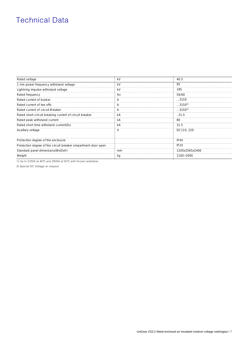## Technical Data

| Rated voltage                                                 | kV | 40.5                       |
|---------------------------------------------------------------|----|----------------------------|
| 1 min power frequency withstand voltage                       | kV | 95                         |
| Lightning impulse withstand voltage                           | k٧ | 185                        |
| Rated frequency                                               | Hz | 50/60                      |
| Rated current of busbar                                       |    | $\dots$ 3150               |
| Rated current of tee-offs                                     | A  | $\dots$ 3150 <sup>1)</sup> |
| Rated current of circuit Breaker                              |    | $\dots$ 3150 <sup>1)</sup> |
| Rated short-circuit breaking current of circuit breaker       | kA | 31.5                       |
| Rated peak withstand current                                  | kА | 80                         |
| Rated short time withstand current(3s)                        | kA | 31.5                       |
| Auxiliary voltage                                             |    | DC110, 220                 |
| Protection degree of the enclosure                            |    | IP4X                       |
| Protection degree of the circuit-breaker ompartment door open |    | IP <sub>2</sub> X          |
| Standard panel dimensions (WxDxH)                             | mm | 1200x2565x2400             |
| Weight                                                        | кg | 1100~2000                  |
|                                                               |    |                            |

1) Up to 3150A at 40℃ and 2500A at 55℃ with forced ventilation,

2) Special DC Voltage on request.